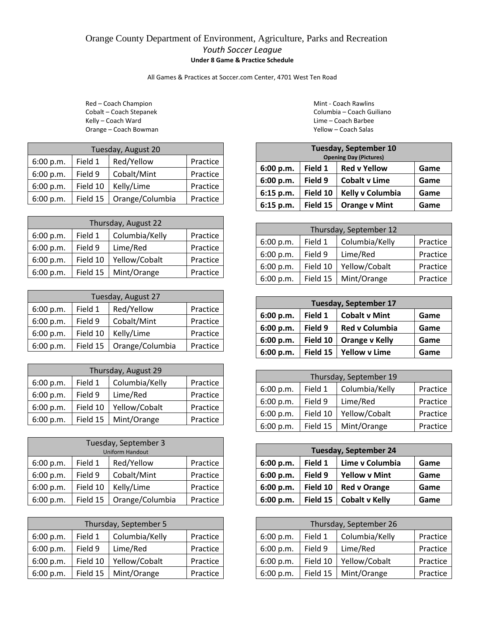## Orange County Department of Environment, Agriculture, Parks and Recreation *Youth Soccer League* **Under 8 Game & Practice Schedule**

All Games & Practices at Soccer.com Center, 4701 West Ten Road

Red – Coach Champion **Mint - Coach Rawlins** Kelly – Coach Ward Lime – Coach Barbee Orange – Coach Bowman Theory of Theory Coach Salas Yellow – Coach Salas

| Tuesday, August 20 |          |                 |          |  |
|--------------------|----------|-----------------|----------|--|
| 6:00 p.m.          | Field 1  | Red/Yellow      | Practice |  |
| 6:00 p.m.          | Field 9  | Cobalt/Mint     | Practice |  |
| 6:00 p.m.          | Field 10 | Kelly/Lime      | Practice |  |
| 6:00 p.m.          | Field 15 | Orange/Columbia | Practice |  |

| Thursday, August 22 |          |                |          |
|---------------------|----------|----------------|----------|
| 6:00 p.m.           | Field 1  | Columbia/Kelly | Practice |
| 6:00 p.m.           | Field 9  | Lime/Red       | Practice |
| 6:00 p.m.           | Field 10 | Yellow/Cobalt  | Practice |
| 6:00 p.m.           | Field 15 | Mint/Orange    | Practice |

| Tuesday, August 27                             |          |                 |          |  |
|------------------------------------------------|----------|-----------------|----------|--|
| Red/Yellow<br>Field 1<br>Practice<br>6:00 p.m. |          |                 |          |  |
| 6:00 p.m.                                      | Field 9  | Cobalt/Mint     | Practice |  |
| 6:00 p.m.                                      | Field 10 | Kelly/Lime      | Practice |  |
| 6:00 p.m.                                      | Field 15 | Orange/Columbia | Practice |  |

| Thursday, August 29 |          |                |          |
|---------------------|----------|----------------|----------|
| 6:00 p.m.           | Field 1  | Columbia/Kelly | Practice |
| 6:00 p.m.           | Field 9  | Lime/Red       | Practice |
| 6:00 p.m.           | Field 10 | Yellow/Cobalt  | Practice |
| 6:00 p.m.           | Field 15 | Mint/Orange    | Practice |

| Tuesday, September 3<br><b>Uniform Handout</b> |          |                 |          |  |
|------------------------------------------------|----------|-----------------|----------|--|
| Red/Yellow<br>Field 1<br>Practice<br>6:00 p.m. |          |                 |          |  |
| 6:00 p.m.                                      | Field 9  | Cobalt/Mint     | Practice |  |
| 6:00 p.m.                                      | Practice |                 |          |  |
| 6:00 p.m.                                      | Field 15 | Orange/Columbia | Practice |  |

| Thursday, September 5 |          |                |          |  |
|-----------------------|----------|----------------|----------|--|
| 6:00 p.m.             | Field 1  | Columbia/Kelly | Practice |  |
| 6:00 p.m.             | Field 9  | Lime/Red       | Practice |  |
| 6:00 p.m.             | Field 10 | Yellow/Cobalt  | Practice |  |
| 6:00 p.m.             | Field 15 | Mint/Orange    | Practice |  |

Cobalt – Coach Stepanek Columbia – Coach Guiliano

| <b>Tuesday, September 10</b>                        |          |                               |      |
|-----------------------------------------------------|----------|-------------------------------|------|
|                                                     |          | <b>Opening Day (Pictures)</b> |      |
| Field 1<br><b>Red v Yellow</b><br>6:00 p.m.<br>Game |          |                               |      |
| 6:00 p.m.                                           | Field 9  | <b>Cobalt v Lime</b>          | Game |
| 6:15 p.m.                                           | Field 10 | Kelly v Columbia              | Game |
| 6:15 p.m.                                           | Field 15 | <b>Orange v Mint</b>          | Game |

| Thursday, September 12 |          |                |          |
|------------------------|----------|----------------|----------|
| 6:00 p.m.              | Field 1  | Columbia/Kelly | Practice |
| 6:00 p.m.              | Field 9  | Lime/Red       | Practice |
| 6:00 p.m.              | Field 10 | Yellow/Cobalt  | Practice |
| 6:00 p.m.              | Field 15 | Mint/Orange    | Practice |

| <b>Tuesday, September 17</b> |          |                       |      |  |
|------------------------------|----------|-----------------------|------|--|
| 6:00 p.m.                    | Field 1  | <b>Cobalt v Mint</b>  | Game |  |
| 6:00 p.m.                    | Field 9  | <b>Red v Columbia</b> | Game |  |
| 6:00 p.m.                    | Field 10 | <b>Orange v Kelly</b> | Game |  |
| 6:00 p.m.                    | Field 15 | <b>Yellow v Lime</b>  | Game |  |

| Thursday, September 19 |          |                |          |
|------------------------|----------|----------------|----------|
| 6:00 p.m.              | Field 1  | Columbia/Kelly | Practice |
| 6:00 p.m.              | Field 9  | Lime/Red       | Practice |
| 6:00 p.m.              | Field 10 | Yellow/Cobalt  | Practice |
| 6:00 p.m.              | Field 15 | Mint/Orange    | Practice |

| <b>Tuesday, September 24</b> |          |                       |      |
|------------------------------|----------|-----------------------|------|
| 6:00 p.m.                    | Field 1  | Lime v Columbia       | Game |
| 6:00 p.m.                    | Field 9  | <b>Yellow v Mint</b>  | Game |
| 6:00 p.m.                    | Field 10 | <b>Red v Orange</b>   | Game |
| 6:00 p.m.                    | Field 15 | <b>Cobalt v Kelly</b> | Game |

| Thursday, September 26 |          |                |          |
|------------------------|----------|----------------|----------|
| 6:00 p.m.              | Field 1  | Columbia/Kelly | Practice |
| 6:00 p.m.              | Field 9  | Lime/Red       | Practice |
| 6:00 p.m.              | Field 10 | Yellow/Cobalt  | Practice |
| 6:00 p.m.              | Field 15 | Mint/Orange    | Practice |